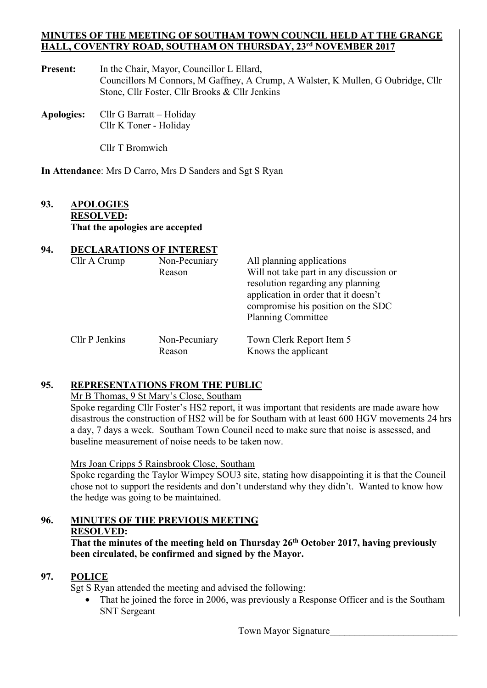#### **MINUTES OF THE MEETING OF SOUTHAM TOWN COUNCIL HELD AT THE GRANGE HALL, COVENTRY ROAD, SOUTHAM ON THURSDAY, 23rd NOVEMBER 2017**

- Present: In the Chair, Mayor, Councillor L Ellard, Councillors M Connors, M Gaffney, A Crump, A Walster, K Mullen, G Oubridge, Cllr Stone, Cllr Foster, Cllr Brooks & Cllr Jenkins
- **Apologies:** Cllr G Barratt Holiday Cllr K Toner - Holiday

Cllr T Bromwich

**In Attendance**: Mrs D Carro, Mrs D Sanders and Sgt S Ryan

## **93. APOLOGIES RESOLVED: That the apologies are accepted**

# **94. DECLARATIONS OF INTEREST**  Cllr A Crump Non-Pecuniary All planning applications Reason Will not take part in any discussion or resolution regarding any planning application in order that it doesn't compromise his position on the SDC Planning Committee Cllr P Jenkins Non-Pecuniary Town Clerk Report Item 5 Reason Knows the applicant

# **95. REPRESENTATIONS FROM THE PUBLIC**

Mr B Thomas, 9 St Mary's Close, Southam

 Spoke regarding Cllr Foster's HS2 report, it was important that residents are made aware how disastrous the construction of HS2 will be for Southam with at least 600 HGV movements 24 hrs a day, 7 days a week. Southam Town Council need to make sure that noise is assessed, and baseline measurement of noise needs to be taken now.

### Mrs Joan Cripps 5 Rainsbrook Close, Southam

Spoke regarding the Taylor Wimpey SOU3 site, stating how disappointing it is that the Council chose not to support the residents and don't understand why they didn't. Wanted to know how the hedge was going to be maintained.

# **96. MINUTES OF THE PREVIOUS MEETING RESOLVED:**

That the minutes of the meeting held on Thursday 26<sup>th</sup> October 2017, having previously **been circulated, be confirmed and signed by the Mayor.** 

# **97. POLICE**

Sgt S Ryan attended the meeting and advised the following:

That he joined the force in 2006, was previously a Response Officer and is the Southam SNT Sergeant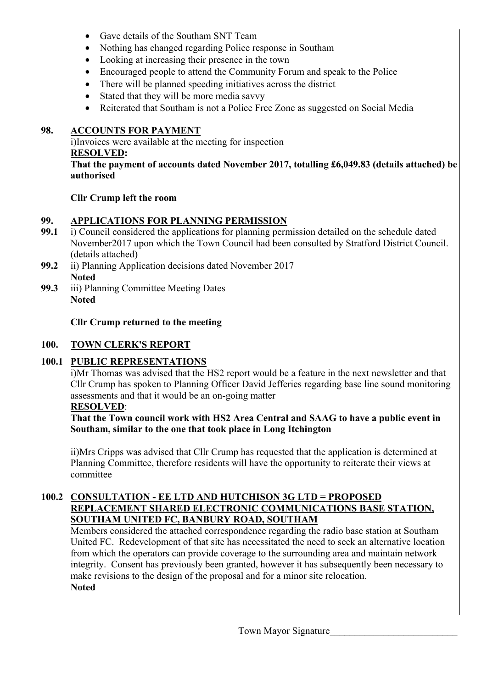- Gave details of the Southam SNT Team
- Nothing has changed regarding Police response in Southam
- Looking at increasing their presence in the town
- Encouraged people to attend the Community Forum and speak to the Police
- There will be planned speeding initiatives across the district
- Stated that they will be more media savvy
- Reiterated that Southam is not a Police Free Zone as suggested on Social Media

## **98. ACCOUNTS FOR PAYMENT**

 i)Invoices were available at the meeting for inspection **RESOLVED: That the payment of accounts dated November 2017, totalling £6,049.83 (details attached) be authorised** 

### **Cllr Crump left the room**

### **99. APPLICATIONS FOR PLANNING PERMISSION**

- **99.1** i) Council considered the applications for planning permission detailed on the schedule dated November2017 upon which the Town Council had been consulted by Stratford District Council. (details attached)
- **99.2** ii) Planning Application decisions dated November 2017 **Noted**
- **99.3** iii) Planning Committee Meeting Dates **Noted**

 **Cllr Crump returned to the meeting** 

## **100. TOWN CLERK'S REPORT**

# **100.1 PUBLIC REPRESENTATIONS**

i)Mr Thomas was advised that the HS2 report would be a feature in the next newsletter and that Cllr Crump has spoken to Planning Officer David Jefferies regarding base line sound monitoring assessments and that it would be an on-going matter

## **RESOLVED**:

 **That the Town council work with HS2 Area Central and SAAG to have a public event in Southam, similar to the one that took place in Long Itchington**

 ii)Mrs Cripps was advised that Cllr Crump has requested that the application is determined at Planning Committee, therefore residents will have the opportunity to reiterate their views at committee

## **100.2 CONSULTATION - EE LTD AND HUTCHISON 3G LTD = PROPOSED REPLACEMENT SHARED ELECTRONIC COMMUNICATIONS BASE STATION, SOUTHAM UNITED FC, BANBURY ROAD, SOUTHAM**

 Members considered the attached correspondence regarding the radio base station at Southam United FC. Redevelopment of that site has necessitated the need to seek an alternative location from which the operators can provide coverage to the surrounding area and maintain network integrity. Consent has previously been granted, however it has subsequently been necessary to make revisions to the design of the proposal and for a minor site relocation. **Noted**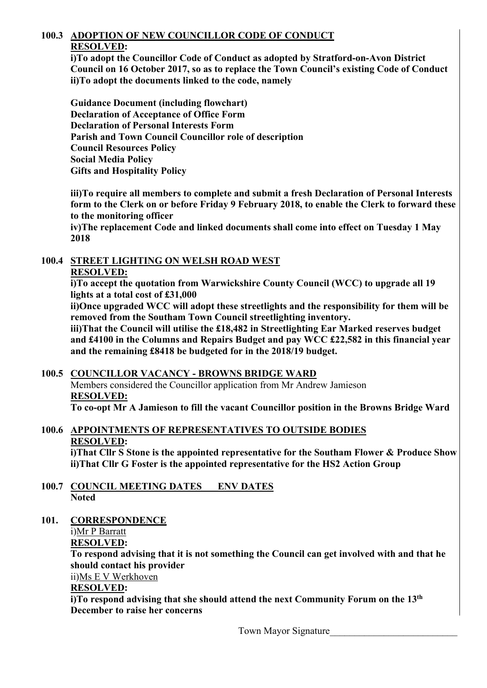# **100.3 ADOPTION OF NEW COUNCILLOR CODE OF CONDUCT RESOLVED:**

**i)To adopt the Councillor Code of Conduct as adopted by Stratford-on-Avon District Council on 16 October 2017, so as to replace the Town Council's existing Code of Conduct ii)To adopt the documents linked to the code, namely** 

 **Guidance Document (including flowchart) Declaration of Acceptance of Office Form Declaration of Personal Interests Form Parish and Town Council Councillor role of description Council Resources Policy Social Media Policy Gifts and Hospitality Policy** 

**iii)To require all members to complete and submit a fresh Declaration of Personal Interests form to the Clerk on or before Friday 9 February 2018, to enable the Clerk to forward these to the monitoring officer** 

**iv)The replacement Code and linked documents shall come into effect on Tuesday 1 May 2018** 

# **100.4 STREET LIGHTING ON WELSH ROAD WEST**

### **RESOLVED:**

**i)To accept the quotation from Warwickshire County Council (WCC) to upgrade all 19 lights at a total cost of £31,000** 

**ii)Once upgraded WCC will adopt these streetlights and the responsibility for them will be removed from the Southam Town Council streetlighting inventory.**

**iii)That the Council will utilise the £18,482 in Streetlighting Ear Marked reserves budget and £4100 in the Columns and Repairs Budget and pay WCC £22,582 in this financial year and the remaining £8418 be budgeted for in the 2018/19 budget.** 

# **100.5 COUNCILLOR VACANCY - BROWNS BRIDGE WARD**

Members considered the Councillor application from Mr Andrew Jamieson **RESOLVED:** 

 **To co-opt Mr A Jamieson to fill the vacant Councillor position in the Browns Bridge Ward** 

# **100.6 APPOINTMENTS OF REPRESENTATIVES TO OUTSIDE BODIES RESOLVED:**

 **i)That Cllr S Stone is the appointed representative for the Southam Flower & Produce Show ii)That Cllr G Foster is the appointed representative for the HS2 Action Group** 

- **100.7 COUNCIL MEETING DATES ENV DATES Noted**
- **101. CORRESPONDENCE**

i)Mr P Barratt

**RESOLVED:** 

 **To respond advising that it is not something the Council can get involved with and that he should contact his provider** 

ii)Ms E V Werkhoven

# **RESOLVED:**

 **i)To respond advising that she should attend the next Community Forum on the 13th December to raise her concerns**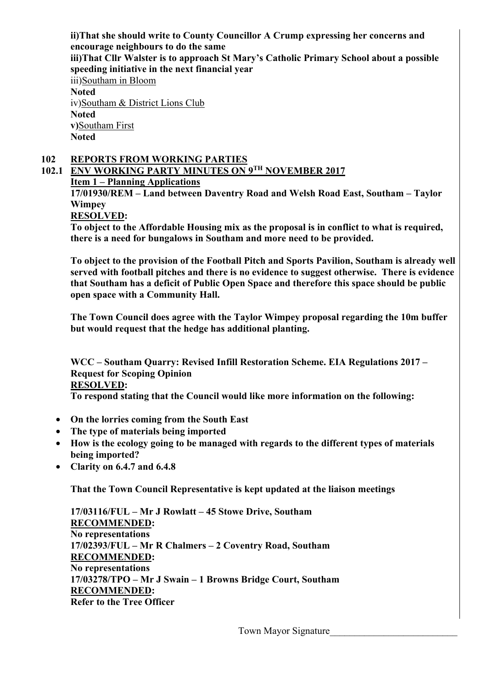**ii)That she should write to County Councillor A Crump expressing her concerns and encourage neighbours to do the same iii)That Cllr Walster is to approach St Mary's Catholic Primary School about a possible speeding initiative in the next financial year**  iii)Southam in Bloom **Noted**  iv)Southam & District Lions Club **Noted v)**Southam First  **Noted** 

### **102 REPORTS FROM WORKING PARTIES**

**102.1 ENV WORKING PARTY MINUTES ON 9TH NOVEMBER 2017** 

**Item 1 – Planning Applications** 

**17/01930/REM – Land between Daventry Road and Welsh Road East, Southam – Taylor Wimpey** 

**RESOLVED:** 

**To object to the Affordable Housing mix as the proposal is in conflict to what is required, there is a need for bungalows in Southam and more need to be provided.** 

**To object to the provision of the Football Pitch and Sports Pavilion, Southam is already well served with football pitches and there is no evidence to suggest otherwise. There is evidence that Southam has a deficit of Public Open Space and therefore this space should be public open space with a Community Hall.** 

**The Town Council does agree with the Taylor Wimpey proposal regarding the 10m buffer but would request that the hedge has additional planting.** 

**WCC – Southam Quarry: Revised Infill Restoration Scheme. EIA Regulations 2017 – Request for Scoping Opinion RESOLVED: To respond stating that the Council would like more information on the following:** 

- **On the lorries coming from the South East**
- **The type of materials being imported**
- **How is the ecology going to be managed with regards to the different types of materials being imported?**
- **Clarity on 6.4.7 and 6.4.8**

**That the Town Council Representative is kept updated at the liaison meetings** 

**17/03116/FUL – Mr J Rowlatt – 45 Stowe Drive, Southam RECOMMENDED: No representations 17/02393/FUL – Mr R Chalmers – 2 Coventry Road, Southam RECOMMENDED: No representations 17/03278/TPO – Mr J Swain – 1 Browns Bridge Court, Southam RECOMMENDED: Refer to the Tree Officer**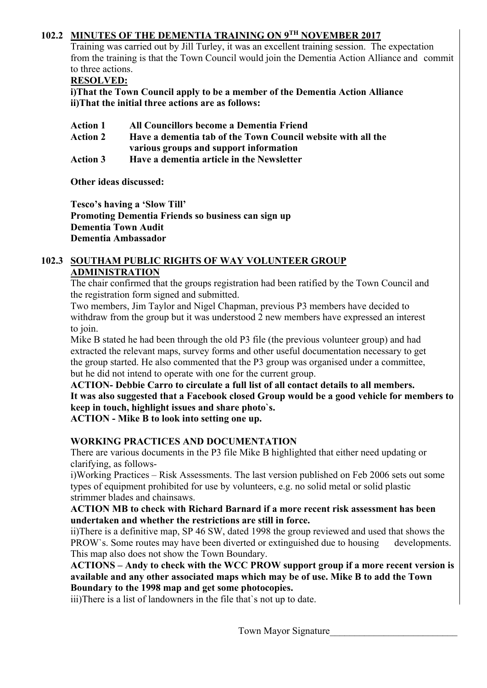## **102.2 MINUTES OF THE DEMENTIA TRAINING ON 9TH NOVEMBER 2017**

Training was carried out by Jill Turley, it was an excellent training session. The expectation from the training is that the Town Council would join the Dementia Action Alliance and commit to three actions.

#### **RESOLVED:**

**i)That the Town Council apply to be a member of the Dementia Action Alliance ii)That the initial three actions are as follows:** 

- **Action 1 All Councillors become a Dementia Friend**
- **Action 2 Have a dementia tab of the Town Council website with all the various groups and support information**
- **Action 3 Have a dementia article in the Newsletter**

**Other ideas discussed:** 

**Tesco's having a 'Slow Till' Promoting Dementia Friends so business can sign up Dementia Town Audit Dementia Ambassador** 

### **102.3 SOUTHAM PUBLIC RIGHTS OF WAY VOLUNTEER GROUP ADMINISTRATION**

The chair confirmed that the groups registration had been ratified by the Town Council and the registration form signed and submitted.

 Two members, Jim Taylor and Nigel Chapman, previous P3 members have decided to withdraw from the group but it was understood 2 new members have expressed an interest to join.

 Mike B stated he had been through the old P3 file (the previous volunteer group) and had extracted the relevant maps, survey forms and other useful documentation necessary to get the group started. He also commented that the P3 group was organised under a committee, but he did not intend to operate with one for the current group.

 **ACTION- Debbie Carro to circulate a full list of all contact details to all members. It was also suggested that a Facebook closed Group would be a good vehicle for members to keep in touch, highlight issues and share photo`s.** 

 **ACTION - Mike B to look into setting one up.** 

### **WORKING PRACTICES AND DOCUMENTATION**

There are various documents in the P3 file Mike B highlighted that either need updating or clarifying, as follows-

 i)Working Practices – Risk Assessments. The last version published on Feb 2006 sets out some types of equipment prohibited for use by volunteers, e.g. no solid metal or solid plastic strimmer blades and chainsaws.

### **ACTION MB to check with Richard Barnard if a more recent risk assessment has been undertaken and whether the restrictions are still in force.**

ii)There is a definitive map, SP 46 SW, dated 1998 the group reviewed and used that shows the PROW`s. Some routes may have been diverted or extinguished due to housing developments. This map also does not show the Town Boundary.

 **ACTIONS – Andy to check with the WCC PROW support group if a more recent version is available and any other associated maps which may be of use. Mike B to add the Town Boundary to the 1998 map and get some photocopies.** 

iii)There is a list of landowners in the file that's not up to date.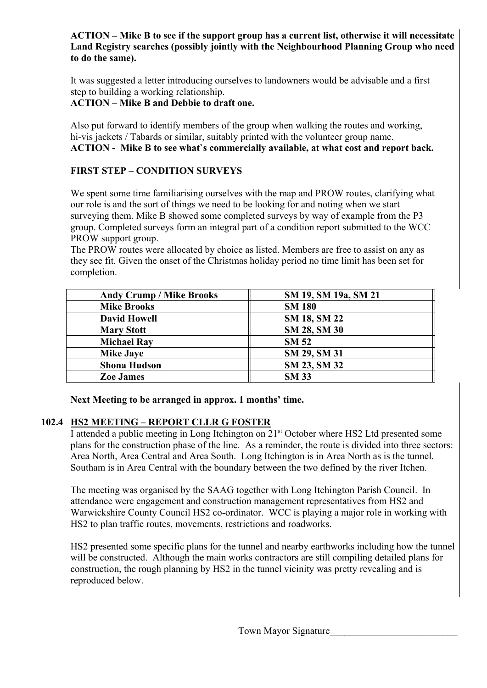## **ACTION – Mike B to see if the support group has a current list, otherwise it will necessitate Land Registry searches (possibly jointly with the Neighbourhood Planning Group who need to do the same).**

It was suggested a letter introducing ourselves to landowners would be advisable and a first step to building a working relationship.

 **ACTION – Mike B and Debbie to draft one.** 

Also put forward to identify members of the group when walking the routes and working, hi-vis jackets / Tabards or similar, suitably printed with the volunteer group name.  **ACTION - Mike B to see what`s commercially available, at what cost and report back.** 

# **FIRST STEP – CONDITION SURVEYS**

We spent some time familiarising ourselves with the map and PROW routes, clarifying what our role is and the sort of things we need to be looking for and noting when we start surveying them. Mike B showed some completed surveys by way of example from the P3 group. Completed surveys form an integral part of a condition report submitted to the WCC PROW support group.

 The PROW routes were allocated by choice as listed. Members are free to assist on any as they see fit. Given the onset of the Christmas holiday period no time limit has been set for completion.

| <b>Andy Crump / Mike Brooks</b> | SM 19, SM 19a, SM 21 |
|---------------------------------|----------------------|
| <b>Mike Brooks</b>              | <b>SM 180</b>        |
| <b>David Howell</b>             | <b>SM 18, SM 22</b>  |
| <b>Mary Stott</b>               | SM 28, SM 30         |
| <b>Michael Ray</b>              | <b>SM 52</b>         |
| <b>Mike Jaye</b>                | SM 29, SM 31         |
| <b>Shona Hudson</b>             | SM 23, SM 32         |
| <b>Zoe James</b>                | <b>SM 33</b>         |

 **Next Meeting to be arranged in approx. 1 months' time.** 

# **102.4 HS2 MEETING – REPORT CLLR G FOSTER**

I attended a public meeting in Long Itchington on 21st October where HS2 Ltd presented some plans for the construction phase of the line. As a reminder, the route is divided into three sectors: Area North, Area Central and Area South. Long Itchington is in Area North as is the tunnel. Southam is in Area Central with the boundary between the two defined by the river Itchen.

 The meeting was organised by the SAAG together with Long Itchington Parish Council. In attendance were engagement and construction management representatives from HS2 and Warwickshire County Council HS2 co-ordinator. WCC is playing a major role in working with HS2 to plan traffic routes, movements, restrictions and roadworks.

 HS2 presented some specific plans for the tunnel and nearby earthworks including how the tunnel will be constructed. Although the main works contractors are still compiling detailed plans for construction, the rough planning by HS2 in the tunnel vicinity was pretty revealing and is reproduced below.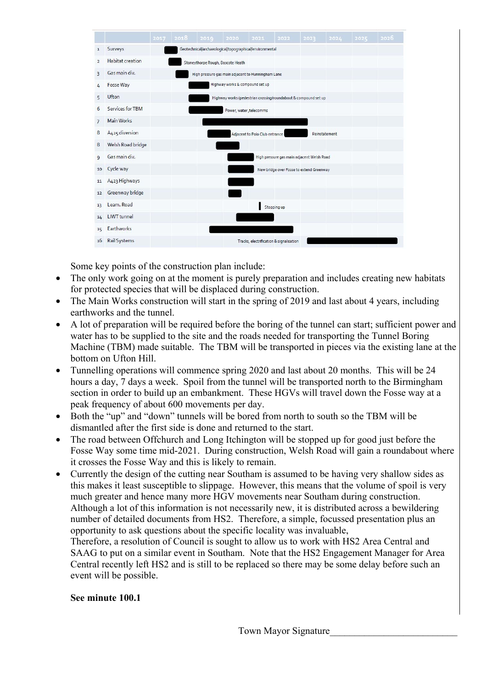

Some key points of the construction plan include:

- The only work going on at the moment is purely preparation and includes creating new habitats for protected species that will be displaced during construction.
- The Main Works construction will start in the spring of 2019 and last about 4 years, including earthworks and the tunnel.
- A lot of preparation will be required before the boring of the tunnel can start; sufficient power and water has to be supplied to the site and the roads needed for transporting the Tunnel Boring Machine (TBM) made suitable. The TBM will be transported in pieces via the existing lane at the bottom on Ufton Hill.
- Tunnelling operations will commence spring 2020 and last about 20 months. This will be 24 hours a day, 7 days a week. Spoil from the tunnel will be transported north to the Birmingham section in order to build up an embankment. These HGVs will travel down the Fosse way at a peak frequency of about 600 movements per day.
- Both the "up" and "down" tunnels will be bored from north to south so the TBM will be dismantled after the first side is done and returned to the start.
- The road between Offchurch and Long Itchington will be stopped up for good just before the Fosse Way some time mid-2021. During construction, Welsh Road will gain a roundabout where it crosses the Fosse Way and this is likely to remain.
- Currently the design of the cutting near Southam is assumed to be having very shallow sides as this makes it least susceptible to slippage. However, this means that the volume of spoil is very much greater and hence many more HGV movements near Southam during construction. Although a lot of this information is not necessarily new, it is distributed across a bewildering number of detailed documents from HS2. Therefore, a simple, focussed presentation plus an opportunity to ask questions about the specific locality was invaluable,

 Therefore, a resolution of Council is sought to allow us to work with HS2 Area Central and SAAG to put on a similar event in Southam. Note that the HS2 Engagement Manager for Area Central recently left HS2 and is still to be replaced so there may be some delay before such an event will be possible.

### **See minute 100.1**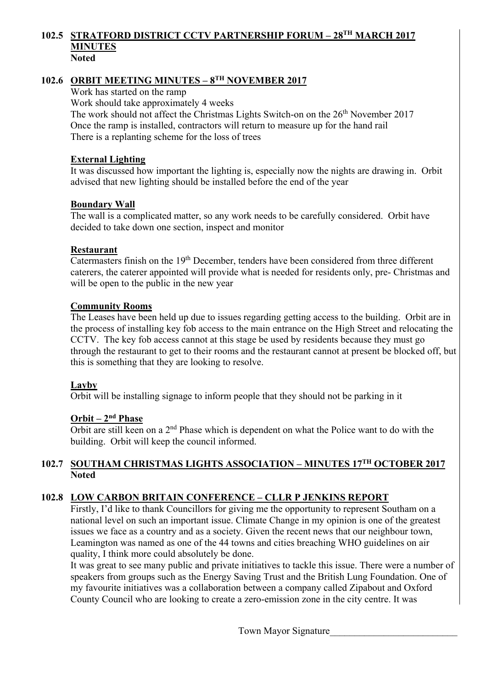#### **102.5 STRATFORD DISTRICT CCTV PARTNERSHIP FORUM – 28TH MARCH 2017 MINUTES Noted**

# 102.6 ORBIT MEETING MINUTES – 8<sup>TH</sup> NOVEMBER 2017

Work has started on the ramp

Work should take approximately 4 weeks

The work should not affect the Christmas Lights Switch-on on the 26<sup>th</sup> November 2017 Once the ramp is installed, contractors will return to measure up for the hand rail There is a replanting scheme for the loss of trees

### **External Lighting**

 It was discussed how important the lighting is, especially now the nights are drawing in. Orbit advised that new lighting should be installed before the end of the year

#### **Boundary Wall**

 The wall is a complicated matter, so any work needs to be carefully considered. Orbit have decided to take down one section, inspect and monitor

#### **Restaurant**

Catermasters finish on the 19<sup>th</sup> December, tenders have been considered from three different caterers, the caterer appointed will provide what is needed for residents only, pre- Christmas and will be open to the public in the new year

#### **Community Rooms**

 The Leases have been held up due to issues regarding getting access to the building. Orbit are in the process of installing key fob access to the main entrance on the High Street and relocating the CCTV. The key fob access cannot at this stage be used by residents because they must go through the restaurant to get to their rooms and the restaurant cannot at present be blocked off, but this is something that they are looking to resolve.

### **Layby**

Orbit will be installing signage to inform people that they should not be parking in it

### **Orbit – 2nd Phase**

 Orbit are still keen on a 2nd Phase which is dependent on what the Police want to do with the building. Orbit will keep the council informed.

### **102.7 SOUTHAM CHRISTMAS LIGHTS ASSOCIATION – MINUTES 17TH OCTOBER 2017 Noted**

### **102.8 LOW CARBON BRITAIN CONFERENCE – CLLR P JENKINS REPORT**

Firstly, I'd like to thank Councillors for giving me the opportunity to represent Southam on a national level on such an important issue. Climate Change in my opinion is one of the greatest issues we face as a country and as a society. Given the recent news that our neighbour town, Leamington was named as one of the 44 towns and cities breaching WHO guidelines on air quality, I think more could absolutely be done.

 It was great to see many public and private initiatives to tackle this issue. There were a number of speakers from groups such as the Energy Saving Trust and the British Lung Foundation. One of my favourite initiatives was a collaboration between a company called Zipabout and Oxford County Council who are looking to create a zero-emission zone in the city centre. It was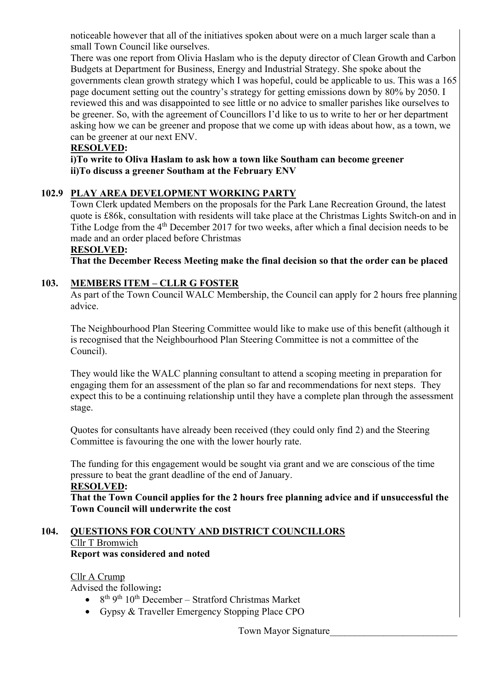noticeable however that all of the initiatives spoken about were on a much larger scale than a small Town Council like ourselves.

 There was one report from Olivia Haslam who is the deputy director of Clean Growth and Carbon Budgets at Department for Business, Energy and Industrial Strategy. She spoke about the governments clean growth strategy which I was hopeful, could be applicable to us. This was a 165 page document setting out the country's strategy for getting emissions down by 80% by 2050. I reviewed this and was disappointed to see little or no advice to smaller parishes like ourselves to be greener. So, with the agreement of Councillors I'd like to us to write to her or her department asking how we can be greener and propose that we come up with ideas about how, as a town, we can be greener at our next ENV.

## **RESOLVED:**

 **i)To write to Oliva Haslam to ask how a town like Southam can become greener ii)To discuss a greener Southam at the February ENV** 

## **102.9 PLAY AREA DEVELOPMENT WORKING PARTY**

Town Clerk updated Members on the proposals for the Park Lane Recreation Ground, the latest quote is £86k, consultation with residents will take place at the Christmas Lights Switch-on and in Tithe Lodge from the 4th December 2017 for two weeks, after which a final decision needs to be made and an order placed before Christmas

#### **RESOLVED:**

 **That the December Recess Meeting make the final decision so that the order can be placed** 

## **103. MEMBERS ITEM – CLLR G FOSTER**

As part of the Town Council WALC Membership, the Council can apply for 2 hours free planning advice.

The Neighbourhood Plan Steering Committee would like to make use of this benefit (although it is recognised that the Neighbourhood Plan Steering Committee is not a committee of the Council).

They would like the WALC planning consultant to attend a scoping meeting in preparation for engaging them for an assessment of the plan so far and recommendations for next steps. They expect this to be a continuing relationship until they have a complete plan through the assessment stage.

Quotes for consultants have already been received (they could only find 2) and the Steering Committee is favouring the one with the lower hourly rate.

The funding for this engagement would be sought via grant and we are conscious of the time pressure to beat the grant deadline of the end of January.

#### **RESOLVED:**

 **That the Town Council applies for the 2 hours free planning advice and if unsuccessful the Town Council will underwrite the cost** 

#### **104. QUESTIONS FOR COUNTY AND DISTRICT COUNCILLORS**  Cllr T Bromwich **Report was considered and noted**

### Cllr A Crump

Advised the following**:** 

- $8<sup>th</sup> 9<sup>th</sup> 10<sup>th</sup> December Stratford Christmas Market$
- Gypsy & Traveller Emergency Stopping Place CPO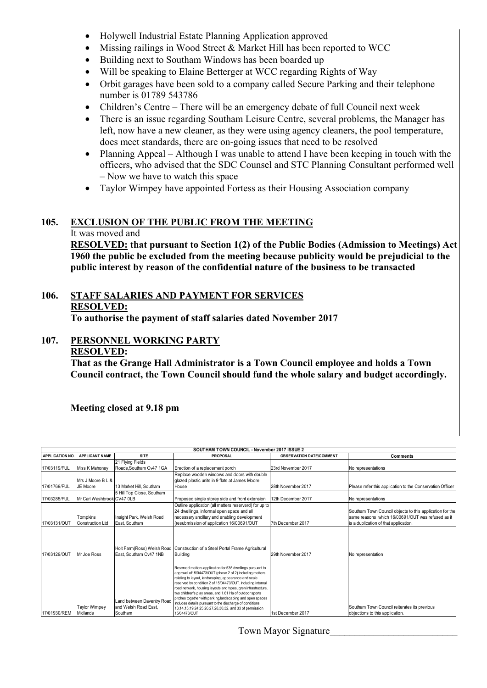- Holywell Industrial Estate Planning Application approved
- Missing railings in Wood Street & Market Hill has been reported to WCC
- Building next to Southam Windows has been boarded up
- Will be speaking to Elaine Betterger at WCC regarding Rights of Way
- Orbit garages have been sold to a company called Secure Parking and their telephone number is 01789 543786
- Children's Centre There will be an emergency debate of full Council next week
- There is an issue regarding Southam Leisure Centre, several problems, the Manager has left, now have a new cleaner, as they were using agency cleaners, the pool temperature, does meet standards, there are on-going issues that need to be resolved
- Planning Appeal Although I was unable to attend I have been keeping in touch with the officers, who advised that the SDC Counsel and STC Planning Consultant performed well – Now we have to watch this space
- Taylor Wimpey have appointed Fortess as their Housing Association company

## **105. EXCLUSION OF THE PUBLIC FROM THE MEETING**

#### It was moved and

**RESOLVED: that pursuant to Section 1(2) of the Public Bodies (Admission to Meetings) Act 1960 the public be excluded from the meeting because publicity would be prejudicial to the public interest by reason of the confidential nature of the business to be transacted** 

# **106. STAFF SALARIES AND PAYMENT FOR SERVICES RESOLVED:**

 **To authorise the payment of staff salaries dated November 2017**

# **107. PERSONNEL WORKING PARTY**

# **RESOLVED:**

 **That as the Grange Hall Administrator is a Town Council employee and holds a Town Council contract, the Town Council should fund the whole salary and budget accordingly.** 

### **Meeting closed at 9.18 pm**

|                        | SOUTHAM TOWN COUNCIL - November 2017 ISSUE 2 |                                                               |                                                                                                                                                                                                                                                                                                                                                                                                                                                                                                                                                                                 |                                 |                                                                                                                                                        |  |  |
|------------------------|----------------------------------------------|---------------------------------------------------------------|---------------------------------------------------------------------------------------------------------------------------------------------------------------------------------------------------------------------------------------------------------------------------------------------------------------------------------------------------------------------------------------------------------------------------------------------------------------------------------------------------------------------------------------------------------------------------------|---------------------------------|--------------------------------------------------------------------------------------------------------------------------------------------------------|--|--|
| <b>APPLICATION NO.</b> | <b>APPLICANT NAME</b>                        | <b>SITE</b>                                                   | PROPOSAL                                                                                                                                                                                                                                                                                                                                                                                                                                                                                                                                                                        | <b>OBSERVATION DATE/COMMENT</b> | <b>Comments</b>                                                                                                                                        |  |  |
| 17/03119/FUL           | Miss K Mahonev                               | 21 Flying Fields<br>Roads.Southam Cv47 1GA                    | Erection of a replacement porch                                                                                                                                                                                                                                                                                                                                                                                                                                                                                                                                                 | 23rd November 2017              | No representations                                                                                                                                     |  |  |
| 17/01769/FUL           | Mrs J Moore B L &<br>JE Moore                | 13 Market Hill, Southam                                       | Replace wooden windows and doors with double<br>glazed plastic units in 9 flats at James Moore<br>House                                                                                                                                                                                                                                                                                                                                                                                                                                                                         | 28th November 2017              | Please refer this application to the Conservation Officer                                                                                              |  |  |
| 17/03285/FUL           | Mr Carl Washbrook CV47 OLB                   | 5 Hill Top Close, Southam                                     | Proposed single storey side and front extension                                                                                                                                                                                                                                                                                                                                                                                                                                                                                                                                 | 12th December 2017              | No representations                                                                                                                                     |  |  |
| 17/03131/OUT           | Tompkins<br><b>Construction Ltd</b>          | Insight Park, Welsh Road<br>East. Southam                     | Outline application (all matters reserverd) for up to<br>24 dwellings, informal open space and all<br>necessary ancillary and enabling development<br>(resubmission of application 16/00691/OUT                                                                                                                                                                                                                                                                                                                                                                                 | 7th December 2017               | Southam Town Council objects to this application for the<br>same reasons which 16/00691/OUT was refused as it<br>is a duplication of that application. |  |  |
| 17/03129/OUT           | Mr Joe Ross                                  | East, Southam Cv47 1NB                                        | Holt Farm (Ross) Welsh Road Construction of a Steel Portal Frame Agricultural<br><b>Building</b>                                                                                                                                                                                                                                                                                                                                                                                                                                                                                | 29th November 2017              | No representation                                                                                                                                      |  |  |
| 17/01930/REM           | Taylor Wimpey<br>Midlands                    | Land between Daventry Road<br>and Welsh Road East.<br>Southam | Reserved matters application for 535 dwellings pursuant to<br>approval of15/04473/OUT (phase 2 of 2) including matters<br>relating to layout, landscaping, appearance and scale<br>reserved by condition 2 of 15/04473/OUT. Including internal<br>road network, housing layouts and types, gren infrastructure,<br>two children's play areas, and 1.61 Ha of outdoor sports<br>pitches together with parking, landscaping and open spaces<br>Includes details pursuant to the discharge of conditions<br>13,14,15,19,24,25,26,27,28,30,32, and 33 of permission<br>15/04473/OUT | 1st December 2017               | Southam Town Council reiterates its previous<br>objections to this application.                                                                        |  |  |